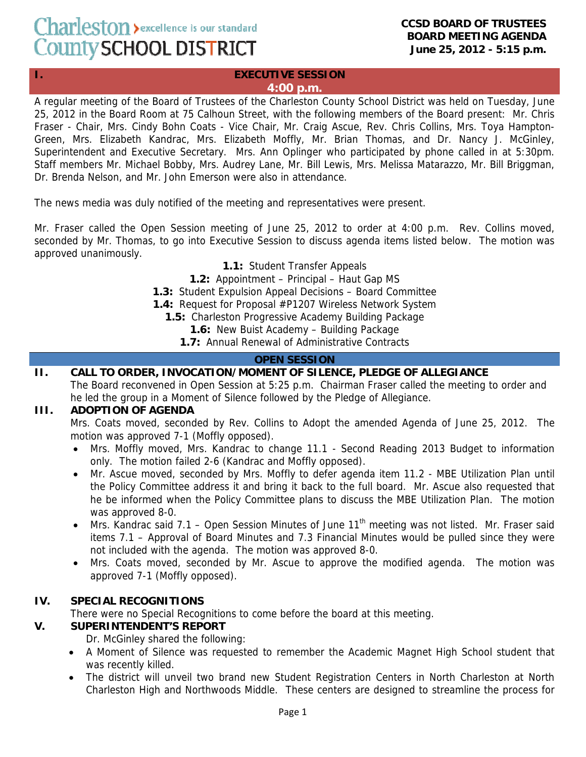# Charleston > excellence is our standard County SCHOOL DISTRICT

#### **CCSD BOARD OF TRUSTEES BOARD MEETING AGENDA June 25, 2012 - 5:15 p.m.**

#### **I. EXECUTIVE SESSION 4:00 p.m.**

A regular meeting of the Board of Trustees of the Charleston County School District was held on Tuesday, June 25, 2012 in the Board Room at 75 Calhoun Street, with the following members of the Board present: Mr. Chris Fraser - Chair, Mrs. Cindy Bohn Coats - Vice Chair, Mr. Craig Ascue, Rev. Chris Collins, Mrs. Toya Hampton-Green, Mrs. Elizabeth Kandrac, Mrs. Elizabeth Moffly, Mr. Brian Thomas, and Dr. Nancy J. McGinley, Superintendent and Executive Secretary. Mrs. Ann Oplinger who participated by phone called in at 5:30pm. Staff members Mr. Michael Bobby, Mrs. Audrey Lane, Mr. Bill Lewis, Mrs. Melissa Matarazzo, Mr. Bill Briggman, Dr. Brenda Nelson, and Mr. John Emerson were also in attendance.

The news media was duly notified of the meeting and representatives were present.

Mr. Fraser called the Open Session meeting of June 25, 2012 to order at 4:00 p.m. Rev. Collins moved, seconded by Mr. Thomas, to go into Executive Session to discuss agenda items listed below. The motion was approved unanimously.

**1.1:** Student Transfer Appeals

**1.2:** Appointment – Principal – Haut Gap MS

**1.3:** Student Expulsion Appeal Decisions – Board Committee

**1.4:** Request for Proposal #P1207 Wireless Network System

**1.5:** Charleston Progressive Academy Building Package

**1.6:** New Buist Academy – Building Package

**1.7:** Annual Renewal of Administrative Contracts

# **OPEN SESSION**

# **II. CALL TO ORDER, INVOCATION/MOMENT OF SILENCE, PLEDGE OF ALLEGIANCE**

The Board reconvened in Open Session at 5:25 p.m. Chairman Fraser called the meeting to order and he led the group in a Moment of Silence followed by the Pledge of Allegiance.

# **III. ADOPTION OF AGENDA**

Mrs. Coats moved, seconded by Rev. Collins to Adopt the amended Agenda of June 25, 2012. The motion was approved 7-1 (Moffly opposed).

- Mrs. Moffly moved, Mrs. Kandrac to change 11.1 Second Reading 2013 Budget to information only. The motion failed 2-6 (Kandrac and Moffly opposed).
- Mr. Ascue moved, seconded by Mrs. Moffly to defer agenda item 11.2 MBE Utilization Plan until the Policy Committee address it and bring it back to the full board. Mr. Ascue also requested that he be informed when the Policy Committee plans to discuss the MBE Utilization Plan. The motion was approved 8-0.
- Mrs. Kandrac said 7.1 Open Session Minutes of June 11<sup>th</sup> meeting was not listed. Mr. Fraser said items 7.1 – Approval of Board Minutes and 7.3 Financial Minutes would be pulled since they were not included with the agenda. The motion was approved 8-0.
- Mrs. Coats moved, seconded by Mr. Ascue to approve the modified agenda. The motion was approved 7-1 (Moffly opposed).

# **IV. SPECIAL RECOGNITIONS**

There were no Special Recognitions to come before the board at this meeting.

#### **V. SUPERINTENDENT'S REPORT**

Dr. McGinley shared the following:

- A Moment of Silence was requested to remember the Academic Magnet High School student that was recently killed.
- The district will unveil two brand new Student Registration Centers in North Charleston at North Charleston High and Northwoods Middle. These centers are designed to streamline the process for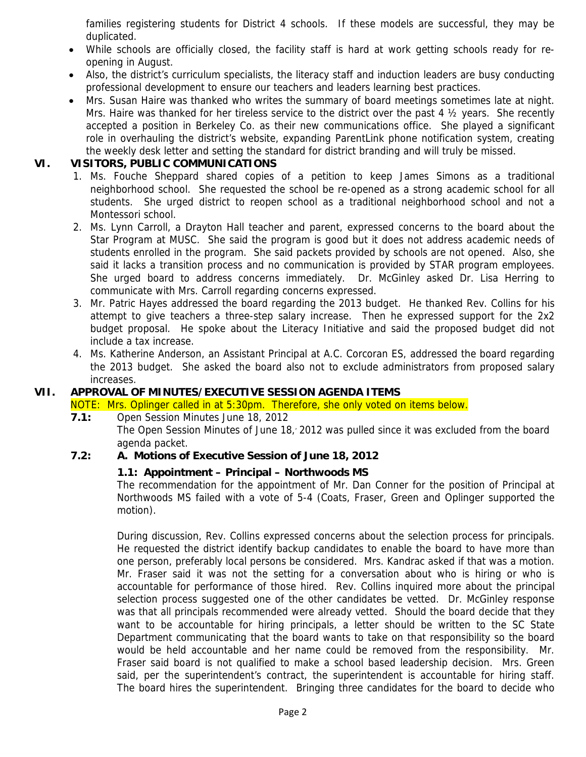families registering students for District 4 schools. If these models are successful, they may be duplicated.

- While schools are officially closed, the facility staff is hard at work getting schools ready for reopening in August.
- Also, the district's curriculum specialists, the literacy staff and induction leaders are busy conducting professional development to ensure our teachers and leaders learning best practices.
- Mrs. Susan Haire was thanked who writes the summary of board meetings sometimes late at night. Mrs. Haire was thanked for her tireless service to the district over the past 4 ½ years. She recently accepted a position in Berkeley Co. as their new communications office. She played a significant role in overhauling the district's website, expanding ParentLink phone notification system, creating the weekly desk letter and setting the standard for district branding and will truly be missed.

#### **VI. VISITORS, PUBLIC COMMUNICATIONS**

- 1. Ms. Fouche Sheppard shared copies of a petition to keep James Simons as a traditional neighborhood school. She requested the school be re-opened as a strong academic school for all students. She urged district to reopen school as a traditional neighborhood school and not a Montessori school.
- 2. Ms. Lynn Carroll, a Drayton Hall teacher and parent, expressed concerns to the board about the Star Program at MUSC. She said the program is good but it does not address academic needs of students enrolled in the program. She said packets provided by schools are not opened. Also, she said it lacks a transition process and no communication is provided by STAR program employees. She urged board to address concerns immediately. Dr. McGinley asked Dr. Lisa Herring to communicate with Mrs. Carroll regarding concerns expressed.
- 3. Mr. Patric Hayes addressed the board regarding the 2013 budget. He thanked Rev. Collins for his attempt to give teachers a three-step salary increase. Then he expressed support for the 2x2 budget proposal. He spoke about the Literacy Initiative and said the proposed budget did not include a tax increase.
- 4. Ms. Katherine Anderson, an Assistant Principal at A.C. Corcoran ES, addressed the board regarding the 2013 budget. She asked the board also not to exclude administrators from proposed salary increases.

# **VII. APPROVAL OF MINUTES/EXECUTIVE SESSION AGENDA ITEMS**

NOTE: Mrs. Oplinger called in at 5:30pm. Therefore, she only voted on items below.

 **7.1:** Open Session Minutes June 18, 2012

The Open Session Minutes of June 18, 2012 was pulled since it was excluded from the board agenda packet.

#### **7.2: A. Motions of Executive Session of June 18, 2012**

#### **1.1: Appointment – Principal – Northwoods MS**

The recommendation for the appointment of Mr. Dan Conner for the position of Principal at Northwoods MS failed with a vote of 5-4 (Coats, Fraser, Green and Oplinger supported the motion).

During discussion, Rev. Collins expressed concerns about the selection process for principals. He requested the district identify backup candidates to enable the board to have more than one person, preferably local persons be considered. Mrs. Kandrac asked if that was a motion. Mr. Fraser said it was not the setting for a conversation about who is hiring or who is accountable for performance of those hired. Rev. Collins inquired more about the principal selection process suggested one of the other candidates be vetted. Dr. McGinley response was that all principals recommended were already vetted. Should the board decide that they want to be accountable for hiring principals, a letter should be written to the SC State Department communicating that the board wants to take on that responsibility so the board would be held accountable and her name could be removed from the responsibility. Mr. Fraser said board is not qualified to make a school based leadership decision. Mrs. Green said, per the superintendent's contract, the superintendent is accountable for hiring staff. The board hires the superintendent. Bringing three candidates for the board to decide who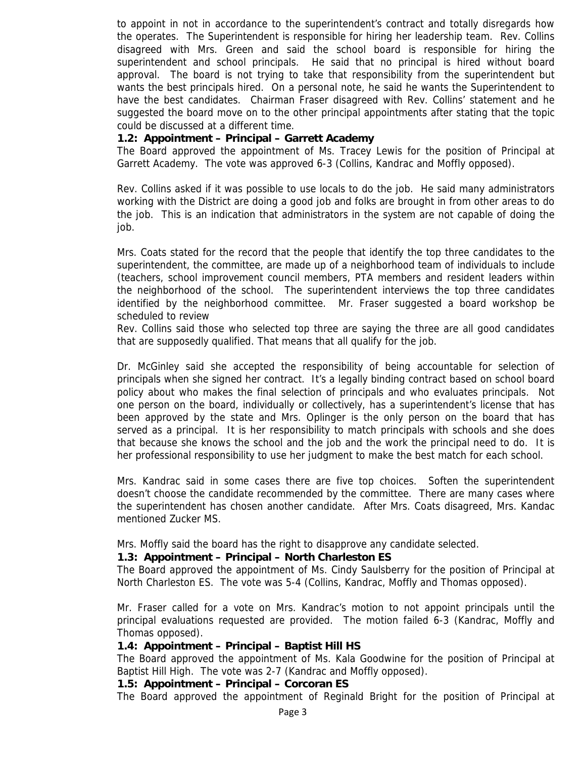to appoint in not in accordance to the superintendent's contract and totally disregards how the operates. The Superintendent is responsible for hiring her leadership team. Rev. Collins disagreed with Mrs. Green and said the school board is responsible for hiring the superintendent and school principals. He said that no principal is hired without board approval. The board is not trying to take that responsibility from the superintendent but wants the best principals hired. On a personal note, he said he wants the Superintendent to have the best candidates. Chairman Fraser disagreed with Rev. Collins' statement and he suggested the board move on to the other principal appointments after stating that the topic could be discussed at a different time.

#### **1.2: Appointment – Principal – Garrett Academy**

The Board approved the appointment of Ms. Tracey Lewis for the position of Principal at Garrett Academy. The vote was approved 6-3 (Collins, Kandrac and Moffly opposed).

Rev. Collins asked if it was possible to use locals to do the job. He said many administrators working with the District are doing a good job and folks are brought in from other areas to do the job. This is an indication that administrators in the system are not capable of doing the job.

Mrs. Coats stated for the record that the people that identify the top three candidates to the superintendent, the committee, are made up of a neighborhood team of individuals to include (teachers, school improvement council members, PTA members and resident leaders within the neighborhood of the school. The superintendent interviews the top three candidates identified by the neighborhood committee. Mr. Fraser suggested a board workshop be scheduled to review

Rev. Collins said those who selected top three are saying the three are all good candidates that are supposedly qualified. That means that all qualify for the job.

Dr. McGinley said she accepted the responsibility of being accountable for selection of principals when she signed her contract. It's a legally binding contract based on school board policy about who makes the final selection of principals and who evaluates principals. Not one person on the board, individually or collectively, has a superintendent's license that has been approved by the state and Mrs. Oplinger is the only person on the board that has served as a principal. It is her responsibility to match principals with schools and she does that because she knows the school and the job and the work the principal need to do. It is her professional responsibility to use her judgment to make the best match for each school.

Mrs. Kandrac said in some cases there are five top choices. Soften the superintendent doesn't choose the candidate recommended by the committee. There are many cases where the superintendent has chosen another candidate. After Mrs. Coats disagreed, Mrs. Kandac mentioned Zucker MS.

Mrs. Moffly said the board has the right to disapprove any candidate selected.

#### **1.3: Appointment – Principal – North Charleston ES**

The Board approved the appointment of Ms. Cindy Saulsberry for the position of Principal at North Charleston ES. The vote was 5-4 (Collins, Kandrac, Moffly and Thomas opposed).

Mr. Fraser called for a vote on Mrs. Kandrac's motion to not appoint principals until the principal evaluations requested are provided. The motion failed 6-3 (Kandrac, Moffly and Thomas opposed).

#### **1.4: Appointment – Principal – Baptist Hill HS**

The Board approved the appointment of Ms. Kala Goodwine for the position of Principal at Baptist Hill High. The vote was 2-7 (Kandrac and Moffly opposed).

#### **1.5: Appointment – Principal – Corcoran ES**

The Board approved the appointment of Reginald Bright for the position of Principal at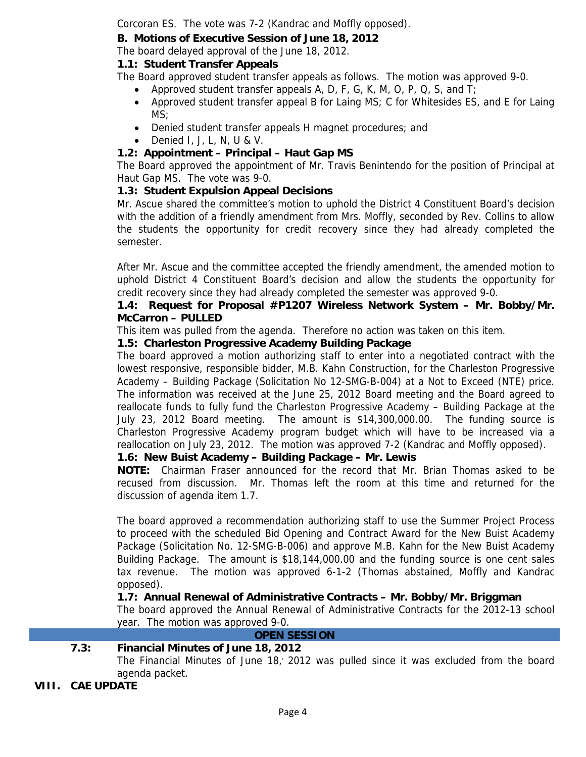Corcoran ES. The vote was 7-2 (Kandrac and Moffly opposed).

# **B. Motions of Executive Session of June 18, 2012**

The board delayed approval of the June 18, 2012.

# **1.1: Student Transfer Appeals**

The Board approved student transfer appeals as follows. The motion was approved 9-0.

- Approved student transfer appeals A, D, F, G, K, M, O, P, Q, S, and T;
- Approved student transfer appeal B for Laing MS; C for Whitesides ES, and E for Laing MS;
- Denied student transfer appeals H magnet procedures; and
- Denied I, J, L, N, U & V.

# **1.2: Appointment – Principal – Haut Gap MS**

The Board approved the appointment of Mr. Travis Benintendo for the position of Principal at Haut Gap MS. The vote was 9-0.

# **1.3: Student Expulsion Appeal Decisions**

Mr. Ascue shared the committee's motion to uphold the District 4 Constituent Board's decision with the addition of a friendly amendment from Mrs. Moffly, seconded by Rev. Collins to allow the students the opportunity for credit recovery since they had already completed the semester.

After Mr. Ascue and the committee accepted the friendly amendment, the amended motion to uphold District 4 Constituent Board's decision and allow the students the opportunity for credit recovery since they had already completed the semester was approved 9-0.

### **1.4: Request for Proposal #P1207 Wireless Network System – Mr. Bobby/Mr. McCarron – PULLED**

This item was pulled from the agenda. Therefore no action was taken on this item.

# **1.5: Charleston Progressive Academy Building Package**

The board approved a motion authorizing staff to enter into a negotiated contract with the lowest responsive, responsible bidder, M.B. Kahn Construction, for the Charleston Progressive Academy – Building Package (Solicitation No 12-SMG-B-004) at a Not to Exceed (NTE) price. The information was received at the June 25, 2012 Board meeting and the Board agreed to reallocate funds to fully fund the Charleston Progressive Academy – Building Package at the July 23, 2012 Board meeting. The amount is \$14,300,000.00. The funding source is Charleston Progressive Academy program budget which will have to be increased via a reallocation on July 23, 2012. The motion was approved 7-2 (Kandrac and Moffly opposed).

# **1.6: New Buist Academy – Building Package – Mr. Lewis**

**NOTE:** Chairman Fraser announced for the record that Mr. Brian Thomas asked to be recused from discussion. Mr. Thomas left the room at this time and returned for the discussion of agenda item 1.7.

The board approved a recommendation authorizing staff to use the Summer Project Process to proceed with the scheduled Bid Opening and Contract Award for the New Buist Academy Package (Solicitation No. 12-SMG-B-006) and approve M.B. Kahn for the New Buist Academy Building Package. The amount is \$18,144,000.00 and the funding source is one cent sales tax revenue. The motion was approved 6-1-2 (Thomas abstained, Moffly and Kandrac opposed).

# **1.7: Annual Renewal of Administrative Contracts – Mr. Bobby/Mr. Briggman**

The board approved the Annual Renewal of Administrative Contracts for the 2012-13 school year. The motion was approved 9-0.

#### **OPEN SESSION**

# **7.3: Financial Minutes of June 18, 2012**

The Financial Minutes of June 18,, 2012 was pulled since it was excluded from the board agenda packet.

# **VIII. CAE UPDATE**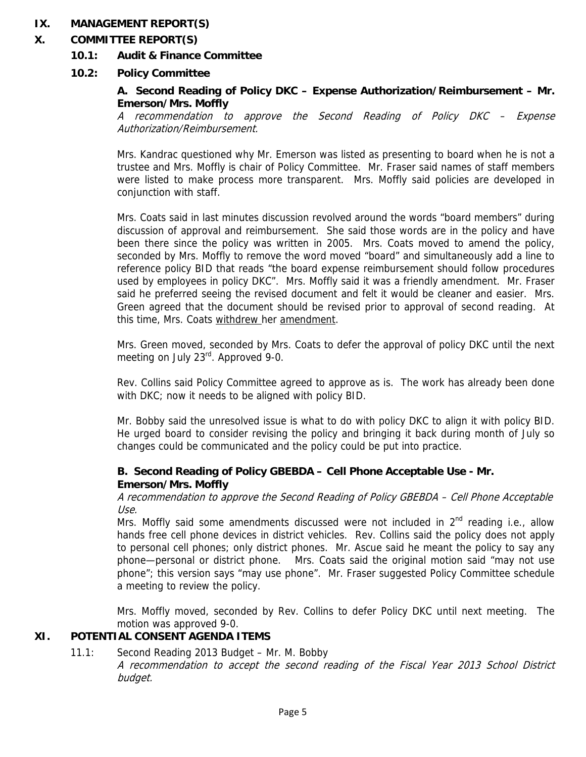#### **IX. MANAGEMENT REPORT(S)**

### **X. COMMITTEE REPORT(S)**

 **10.1: Audit & Finance Committee** 

### **10.2: Policy Committee**

#### **A. Second Reading of Policy DKC – Expense Authorization/Reimbursement – Mr. Emerson/Mrs. Moffly**

A recommendation to approve the Second Reading of Policy DKC – Expense Authorization/Reimbursement.

Mrs. Kandrac questioned why Mr. Emerson was listed as presenting to board when he is not a trustee and Mrs. Moffly is chair of Policy Committee. Mr. Fraser said names of staff members were listed to make process more transparent. Mrs. Moffly said policies are developed in conjunction with staff.

Mrs. Coats said in last minutes discussion revolved around the words "board members" during discussion of approval and reimbursement. She said those words are in the policy and have been there since the policy was written in 2005. Mrs. Coats moved to amend the policy, seconded by Mrs. Moffly to remove the word moved "board" and simultaneously add a line to reference policy BID that reads "the board expense reimbursement should follow procedures used by employees in policy DKC". Mrs. Moffly said it was a friendly amendment. Mr. Fraser said he preferred seeing the revised document and felt it would be cleaner and easier. Mrs. Green agreed that the document should be revised prior to approval of second reading. At this time, Mrs. Coats withdrew her amendment.

Mrs. Green moved, seconded by Mrs. Coats to defer the approval of policy DKC until the next meeting on July 23<sup>rd</sup>. Approved 9-0.

Rev. Collins said Policy Committee agreed to approve as is. The work has already been done with DKC; now it needs to be aligned with policy BID.

Mr. Bobby said the unresolved issue is what to do with policy DKC to align it with policy BID. He urged board to consider revising the policy and bringing it back during month of July so changes could be communicated and the policy could be put into practice.

#### **B. Second Reading of Policy GBEBDA – Cell Phone Acceptable Use - Mr. Emerson/Mrs. Moffly**

A recommendation to approve the Second Reading of Policy GBEBDA – Cell Phone Acceptable Use.

Mrs. Moffly said some amendments discussed were not included in  $2<sup>nd</sup>$  reading i.e., allow hands free cell phone devices in district vehicles. Rev. Collins said the policy does not apply to personal cell phones; only district phones. Mr. Ascue said he meant the policy to say any phone—personal or district phone. Mrs. Coats said the original motion said "may not use phone"; this version says "may use phone". Mr. Fraser suggested Policy Committee schedule a meeting to review the policy.

Mrs. Moffly moved, seconded by Rev. Collins to defer Policy DKC until next meeting. The motion was approved 9-0.

# **XI. POTENTIAL CONSENT AGENDA ITEMS**

 11.1: Second Reading 2013 Budget – Mr. M. Bobby A recommendation to accept the second reading of the Fiscal Year 2013 School District budget.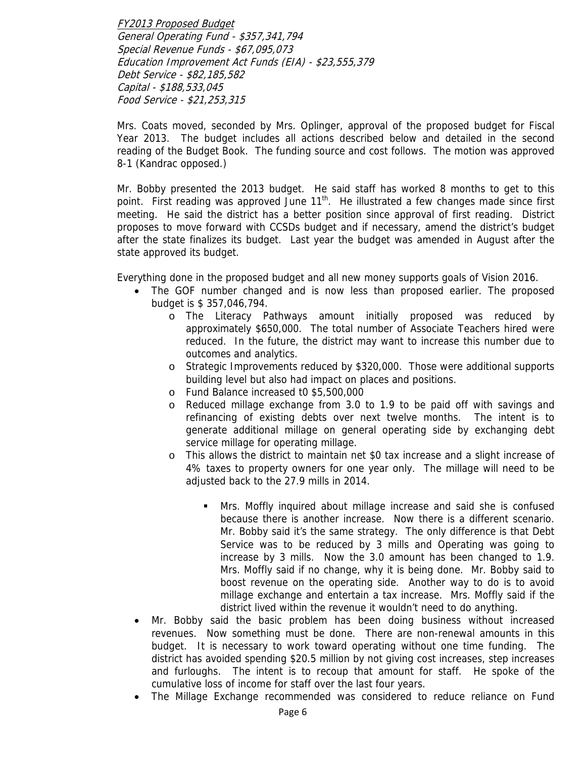FY2013 Proposed Budget General Operating Fund - \$357,341,794 Special Revenue Funds - \$67,095,073 Education Improvement Act Funds (EIA) - \$23,555,379 Debt Service - \$82,185,582 Capital - \$188,533,045 Food Service - \$21,253,315

Mrs. Coats moved, seconded by Mrs. Oplinger, approval of the proposed budget for Fiscal Year 2013. The budget includes all actions described below and detailed in the second reading of the Budget Book. The funding source and cost follows. The motion was approved 8-1 (Kandrac opposed.)

Mr. Bobby presented the 2013 budget. He said staff has worked 8 months to get to this point. First reading was approved June  $11<sup>th</sup>$ . He illustrated a few changes made since first meeting. He said the district has a better position since approval of first reading. District proposes to move forward with CCSDs budget and if necessary, amend the district's budget after the state finalizes its budget. Last year the budget was amended in August after the state approved its budget.

Everything done in the proposed budget and all new money supports goals of Vision 2016.

- The GOF number changed and is now less than proposed earlier. The proposed budget is \$ 357,046,794.
	- o The Literacy Pathways amount initially proposed was reduced by approximately \$650,000. The total number of Associate Teachers hired were reduced. In the future, the district may want to increase this number due to outcomes and analytics.
	- o Strategic Improvements reduced by \$320,000. Those were additional supports building level but also had impact on places and positions.
	- o Fund Balance increased t0 \$5,500,000
	- o Reduced millage exchange from 3.0 to 1.9 to be paid off with savings and refinancing of existing debts over next twelve months. The intent is to generate additional millage on general operating side by exchanging debt service millage for operating millage.
	- o This allows the district to maintain net \$0 tax increase and a slight increase of 4% taxes to property owners for one year only. The millage will need to be adjusted back to the 27.9 mills in 2014.
		- Mrs. Moffly inquired about millage increase and said she is confused because there is another increase. Now there is a different scenario. Mr. Bobby said it's the same strategy. The only difference is that Debt Service was to be reduced by 3 mills and Operating was going to increase by 3 mills. Now the 3.0 amount has been changed to 1.9. Mrs. Moffly said if no change, why it is being done. Mr. Bobby said to boost revenue on the operating side. Another way to do is to avoid millage exchange and entertain a tax increase. Mrs. Moffly said if the district lived within the revenue it wouldn't need to do anything.
- Mr. Bobby said the basic problem has been doing business without increased revenues. Now something must be done. There are non-renewal amounts in this budget. It is necessary to work toward operating without one time funding. The district has avoided spending \$20.5 million by not giving cost increases, step increases and furloughs. The intent is to recoup that amount for staff. He spoke of the cumulative loss of income for staff over the last four years.
- The Millage Exchange recommended was considered to reduce reliance on Fund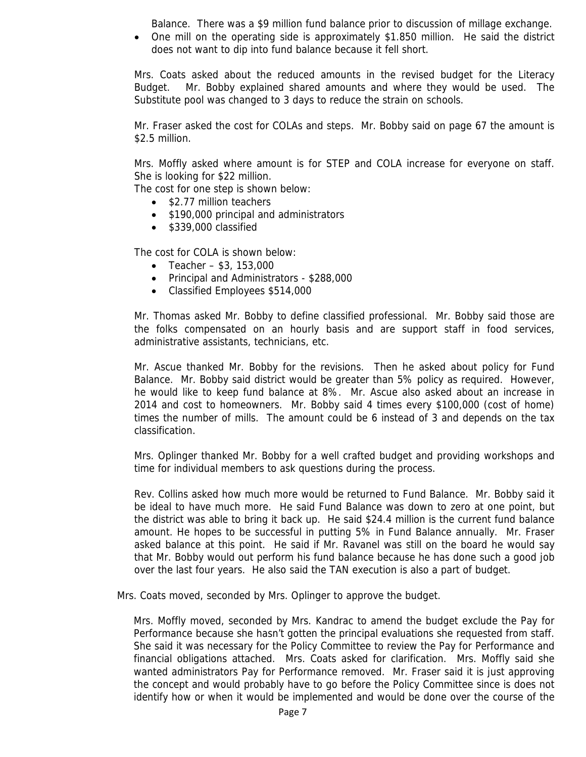Balance. There was a \$9 million fund balance prior to discussion of millage exchange.

• One mill on the operating side is approximately \$1.850 million. He said the district does not want to dip into fund balance because it fell short.

Mrs. Coats asked about the reduced amounts in the revised budget for the Literacy Budget. Mr. Bobby explained shared amounts and where they would be used. The Substitute pool was changed to 3 days to reduce the strain on schools.

Mr. Fraser asked the cost for COLAs and steps. Mr. Bobby said on page 67 the amount is \$2.5 million.

Mrs. Moffly asked where amount is for STEP and COLA increase for everyone on staff. She is looking for \$22 million.

The cost for one step is shown below:

- \$2.77 million teachers
- \$190,000 principal and administrators
- \$339,000 classified

The cost for COLA is shown below:

- Teacher  $$3, 153,000$
- Principal and Administrators \$288,000
- Classified Employees \$514,000

Mr. Thomas asked Mr. Bobby to define classified professional. Mr. Bobby said those are the folks compensated on an hourly basis and are support staff in food services, administrative assistants, technicians, etc.

Mr. Ascue thanked Mr. Bobby for the revisions. Then he asked about policy for Fund Balance. Mr. Bobby said district would be greater than 5% policy as required. However, he would like to keep fund balance at 8%. Mr. Ascue also asked about an increase in 2014 and cost to homeowners. Mr. Bobby said 4 times every \$100,000 (cost of home) times the number of mills. The amount could be 6 instead of 3 and depends on the tax classification.

Mrs. Oplinger thanked Mr. Bobby for a well crafted budget and providing workshops and time for individual members to ask questions during the process.

Rev. Collins asked how much more would be returned to Fund Balance. Mr. Bobby said it be ideal to have much more. He said Fund Balance was down to zero at one point, but the district was able to bring it back up. He said \$24.4 million is the current fund balance amount. He hopes to be successful in putting 5% in Fund Balance annually. Mr. Fraser asked balance at this point. He said if Mr. Ravanel was still on the board he would say that Mr. Bobby would out perform his fund balance because he has done such a good job over the last four years. He also said the TAN execution is also a part of budget.

Mrs. Coats moved, seconded by Mrs. Oplinger to approve the budget.

Mrs. Moffly moved, seconded by Mrs. Kandrac to amend the budget exclude the Pay for Performance because she hasn't gotten the principal evaluations she requested from staff. She said it was necessary for the Policy Committee to review the Pay for Performance and financial obligations attached. Mrs. Coats asked for clarification. Mrs. Moffly said she wanted administrators Pay for Performance removed. Mr. Fraser said it is just approving the concept and would probably have to go before the Policy Committee since is does not identify how or when it would be implemented and would be done over the course of the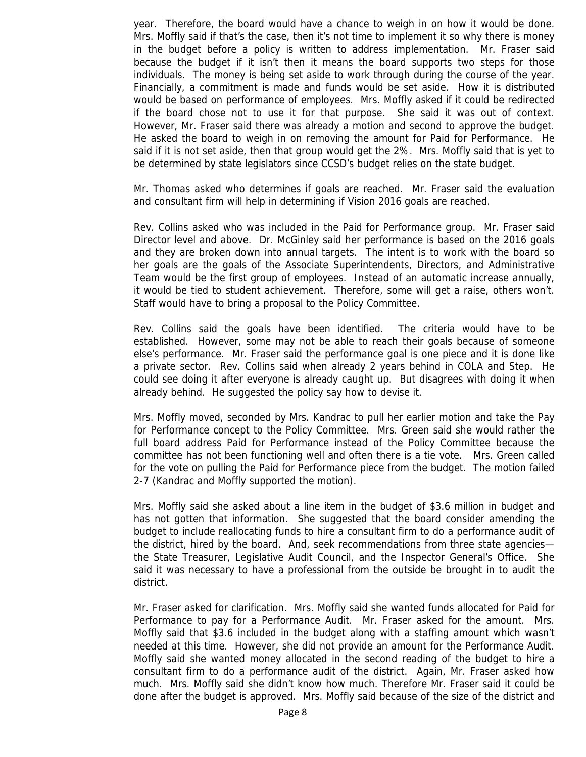year. Therefore, the board would have a chance to weigh in on how it would be done. Mrs. Moffly said if that's the case, then it's not time to implement it so why there is money in the budget before a policy is written to address implementation. Mr. Fraser said because the budget if it isn't then it means the board supports two steps for those individuals. The money is being set aside to work through during the course of the year. Financially, a commitment is made and funds would be set aside. How it is distributed would be based on performance of employees. Mrs. Moffly asked if it could be redirected if the board chose not to use it for that purpose. She said it was out of context. However, Mr. Fraser said there was already a motion and second to approve the budget. He asked the board to weigh in on removing the amount for Paid for Performance. He said if it is not set aside, then that group would get the 2%. Mrs. Moffly said that is yet to be determined by state legislators since CCSD's budget relies on the state budget.

Mr. Thomas asked who determines if goals are reached. Mr. Fraser said the evaluation and consultant firm will help in determining if Vision 2016 goals are reached.

Rev. Collins asked who was included in the Paid for Performance group. Mr. Fraser said Director level and above. Dr. McGinley said her performance is based on the 2016 goals and they are broken down into annual targets. The intent is to work with the board so her goals are the goals of the Associate Superintendents, Directors, and Administrative Team would be the first group of employees. Instead of an automatic increase annually, it would be tied to student achievement. Therefore, some will get a raise, others won't. Staff would have to bring a proposal to the Policy Committee.

Rev. Collins said the goals have been identified. The criteria would have to be established. However, some may not be able to reach their goals because of someone else's performance. Mr. Fraser said the performance goal is one piece and it is done like a private sector. Rev. Collins said when already 2 years behind in COLA and Step. He could see doing it after everyone is already caught up. But disagrees with doing it when already behind. He suggested the policy say how to devise it.

Mrs. Moffly moved, seconded by Mrs. Kandrac to pull her earlier motion and take the Pay for Performance concept to the Policy Committee. Mrs. Green said she would rather the full board address Paid for Performance instead of the Policy Committee because the committee has not been functioning well and often there is a tie vote. Mrs. Green called for the vote on pulling the Paid for Performance piece from the budget. The motion failed 2-7 (Kandrac and Moffly supported the motion).

Mrs. Moffly said she asked about a line item in the budget of \$3.6 million in budget and has not gotten that information. She suggested that the board consider amending the budget to include reallocating funds to hire a consultant firm to do a performance audit of the district, hired by the board. And, seek recommendations from three state agencies the State Treasurer, Legislative Audit Council, and the Inspector General's Office. She said it was necessary to have a professional from the outside be brought in to audit the district.

Mr. Fraser asked for clarification. Mrs. Moffly said she wanted funds allocated for Paid for Performance to pay for a Performance Audit. Mr. Fraser asked for the amount. Mrs. Moffly said that \$3.6 included in the budget along with a staffing amount which wasn't needed at this time. However, she did not provide an amount for the Performance Audit. Moffly said she wanted money allocated in the second reading of the budget to hire a consultant firm to do a performance audit of the district. Again, Mr. Fraser asked how much. Mrs. Moffly said she didn't know how much. Therefore Mr. Fraser said it could be done after the budget is approved. Mrs. Moffly said because of the size of the district and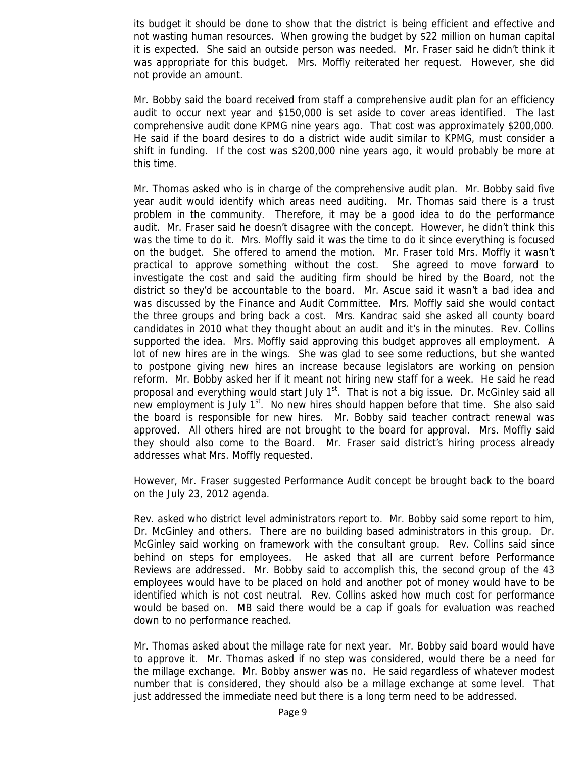its budget it should be done to show that the district is being efficient and effective and not wasting human resources. When growing the budget by \$22 million on human capital it is expected. She said an outside person was needed. Mr. Fraser said he didn't think it was appropriate for this budget. Mrs. Moffly reiterated her request. However, she did not provide an amount.

Mr. Bobby said the board received from staff a comprehensive audit plan for an efficiency audit to occur next year and \$150,000 is set aside to cover areas identified. The last comprehensive audit done KPMG nine years ago. That cost was approximately \$200,000. He said if the board desires to do a district wide audit similar to KPMG, must consider a shift in funding. If the cost was \$200,000 nine years ago, it would probably be more at this time.

Mr. Thomas asked who is in charge of the comprehensive audit plan. Mr. Bobby said five year audit would identify which areas need auditing. Mr. Thomas said there is a trust problem in the community. Therefore, it may be a good idea to do the performance audit. Mr. Fraser said he doesn't disagree with the concept. However, he didn't think this was the time to do it. Mrs. Moffly said it was the time to do it since everything is focused on the budget. She offered to amend the motion. Mr. Fraser told Mrs. Moffly it wasn't practical to approve something without the cost. She agreed to move forward to investigate the cost and said the auditing firm should be hired by the Board, not the district so they'd be accountable to the board. Mr. Ascue said it wasn't a bad idea and was discussed by the Finance and Audit Committee. Mrs. Moffly said she would contact the three groups and bring back a cost. Mrs. Kandrac said she asked all county board candidates in 2010 what they thought about an audit and it's in the minutes. Rev. Collins supported the idea. Mrs. Moffly said approving this budget approves all employment. A lot of new hires are in the wings. She was glad to see some reductions, but she wanted to postpone giving new hires an increase because legislators are working on pension reform. Mr. Bobby asked her if it meant not hiring new staff for a week. He said he read proposal and everything would start July  $1<sup>st</sup>$ . That is not a big issue. Dr. McGinley said all new employment is July  $1<sup>st</sup>$ . No new hires should happen before that time. She also said the board is responsible for new hires. Mr. Bobby said teacher contract renewal was approved. All others hired are not brought to the board for approval. Mrs. Moffly said they should also come to the Board. Mr. Fraser said district's hiring process already addresses what Mrs. Moffly requested.

However, Mr. Fraser suggested Performance Audit concept be brought back to the board on the July 23, 2012 agenda.

Rev. asked who district level administrators report to. Mr. Bobby said some report to him, Dr. McGinley and others. There are no building based administrators in this group. Dr. McGinley said working on framework with the consultant group. Rev. Collins said since behind on steps for employees. He asked that all are current before Performance Reviews are addressed. Mr. Bobby said to accomplish this, the second group of the 43 employees would have to be placed on hold and another pot of money would have to be identified which is not cost neutral. Rev. Collins asked how much cost for performance would be based on. MB said there would be a cap if goals for evaluation was reached down to no performance reached.

Mr. Thomas asked about the millage rate for next year. Mr. Bobby said board would have to approve it. Mr. Thomas asked if no step was considered, would there be a need for the millage exchange. Mr. Bobby answer was no. He said regardless of whatever modest number that is considered, they should also be a millage exchange at some level. That just addressed the immediate need but there is a long term need to be addressed.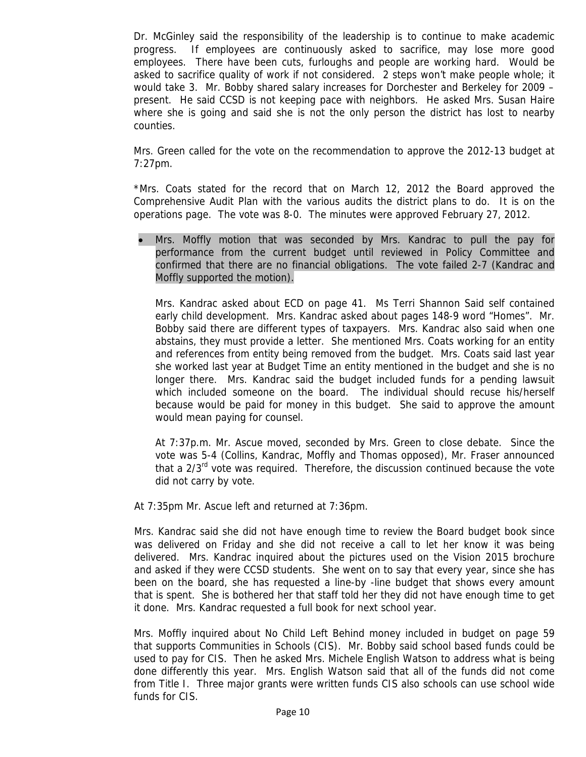Dr. McGinley said the responsibility of the leadership is to continue to make academic progress. If employees are continuously asked to sacrifice, may lose more good employees. There have been cuts, furloughs and people are working hard. Would be asked to sacrifice quality of work if not considered. 2 steps won't make people whole; it would take 3. Mr. Bobby shared salary increases for Dorchester and Berkeley for 2009 – present. He said CCSD is not keeping pace with neighbors. He asked Mrs. Susan Haire where she is going and said she is not the only person the district has lost to nearby counties.

Mrs. Green called for the vote on the recommendation to approve the 2012-13 budget at 7:27pm.

\*Mrs. Coats stated for the record that on March 12, 2012 the Board approved the Comprehensive Audit Plan with the various audits the district plans to do. It is on the operations page. The vote was 8-0. The minutes were approved February 27, 2012.

• Mrs. Moffly motion that was seconded by Mrs. Kandrac to pull the pay for performance from the current budget until reviewed in Policy Committee and confirmed that there are no financial obligations. The vote failed 2-7 (Kandrac and Moffly supported the motion).

Mrs. Kandrac asked about ECD on page 41. Ms Terri Shannon Said self contained early child development. Mrs. Kandrac asked about pages 148-9 word "Homes". Mr. Bobby said there are different types of taxpayers. Mrs. Kandrac also said when one abstains, they must provide a letter. She mentioned Mrs. Coats working for an entity and references from entity being removed from the budget. Mrs. Coats said last year she worked last year at Budget Time an entity mentioned in the budget and she is no longer there. Mrs. Kandrac said the budget included funds for a pending lawsuit which included someone on the board. The individual should recuse his/herself because would be paid for money in this budget. She said to approve the amount would mean paying for counsel.

At 7:37p.m. Mr. Ascue moved, seconded by Mrs. Green to close debate. Since the vote was 5-4 (Collins, Kandrac, Moffly and Thomas opposed), Mr. Fraser announced that a  $2/3^{rd}$  vote was required. Therefore, the discussion continued because the vote did not carry by vote.

At 7:35pm Mr. Ascue left and returned at 7:36pm.

Mrs. Kandrac said she did not have enough time to review the Board budget book since was delivered on Friday and she did not receive a call to let her know it was being delivered. Mrs. Kandrac inquired about the pictures used on the Vision 2015 brochure and asked if they were CCSD students. She went on to say that every year, since she has been on the board, she has requested a line-by -line budget that shows every amount that is spent. She is bothered her that staff told her they did not have enough time to get it done. Mrs. Kandrac requested a full book for next school year.

Mrs. Moffly inquired about No Child Left Behind money included in budget on page 59 that supports Communities in Schools (CIS). Mr. Bobby said school based funds could be used to pay for CIS. Then he asked Mrs. Michele English Watson to address what is being done differently this year. Mrs. English Watson said that all of the funds did not come from Title I. Three major grants were written funds CIS also schools can use school wide funds for CIS.